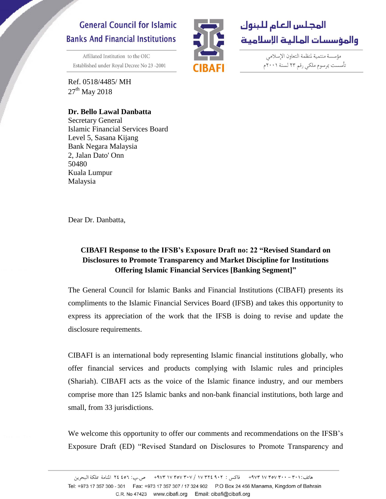## **General Council for Islamic Banks And Financial Institutions**

Affiliated Institution to the OIC Established under Royal Decree No 23-2001

Ref. 0518/4485/ MH  $27<sup>th</sup>$  May 2018

## **Dr. Bello Lawal Danbatta**



مؤسسة منتمية لمنظمة التعاون الإسلامي تأسست بمرسوم ملكي رقم ٢٣ لسنة ٢٠٠١م

Secretary General Islamic Financial Services Board Level 5, Sasana Kijang Bank Negara Malaysia 2, Jalan Dato' Onn 50480 Kuala Lumpur Malaysia

Dear Dr. Danbatta,

## **CIBAFI Response to the IFSB's Exposure Draft no: 22 "Revised Standard on Disclosures to Promote Transparency and Market Discipline for Institutions Offering Islamic Financial Services [Banking Segment]"**

The General Council for Islamic Banks and Financial Institutions (CIBAFI) presents its compliments to the Islamic Financial Services Board (IFSB) and takes this opportunity to express its appreciation of the work that the IFSB is doing to revise and update the disclosure requirements.

CIBAFI is an international body representing Islamic financial institutions globally, who offer financial services and products complying with Islamic rules and principles (Shariah). CIBAFI acts as the voice of the Islamic finance industry, and our members comprise more than 125 Islamic banks and non-bank financial institutions, both large and small, from 33 jurisdictions.

We welcome this opportunity to offer our comments and recommendations on the IFSB's Exposure Draft (ED) "Revised Standard on Disclosures to Promote Transparency and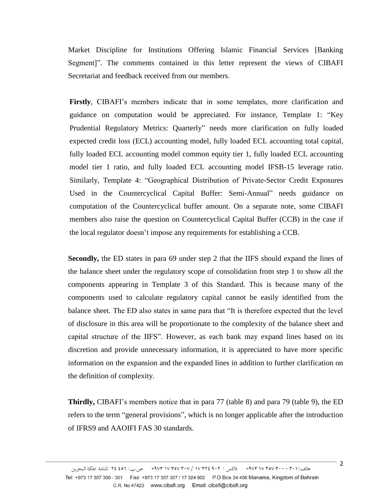Market Discipline for Institutions Offering Islamic Financial Services [Banking Segment]". The comments contained in this letter represent the views of CIBAFI Secretariat and feedback received from our members.

**Firstly**, CIBAFI's members indicate that in some templates, more clarification and guidance on computation would be appreciated. For instance, Template 1: "Key Prudential Regulatory Metrics: Quarterly" needs more clarification on fully loaded expected credit loss (ECL) accounting model, fully loaded ECL accounting total capital, fully loaded ECL accounting model common equity tier 1, fully loaded ECL accounting model tier 1 ratio, and fully loaded ECL accounting model IFSB-15 leverage ratio. Similarly, Template 4: "Geographical Distribution of Private-Sector Credit Exposures Used in the Countercyclical Capital Buffer: Semi-Annual" needs guidance on computation of the Countercyclical buffer amount. On a separate note, some CIBAFI members also raise the question on Countercyclical Capital Buffer (CCB) in the case if the local regulator doesn't impose any requirements for establishing a CCB.

**Secondly,** the ED states in para 69 under step 2 that the IIFS should expand the lines of the balance sheet under the regulatory scope of consolidation from step 1 to show all the components appearing in Template 3 of this Standard. This is because many of the components used to calculate regulatory capital cannot be easily identified from the balance sheet. The ED also states in same para that "It is therefore expected that the level of disclosure in this area will be proportionate to the complexity of the balance sheet and capital structure of the IIFS". However, as each bank may expand lines based on its discretion and provide unnecessary information, it is appreciated to have more specific information on the expansion and the expanded lines in addition to further clarification on the definition of complexity.

**Thirdly,** CIBAFI's members notice that in para 77 (table 8) and para 79 (table 9), the ED refers to the term "general provisions", which is no longer applicable after the introduction of IFRS9 and AAOIFI FAS 30 standards.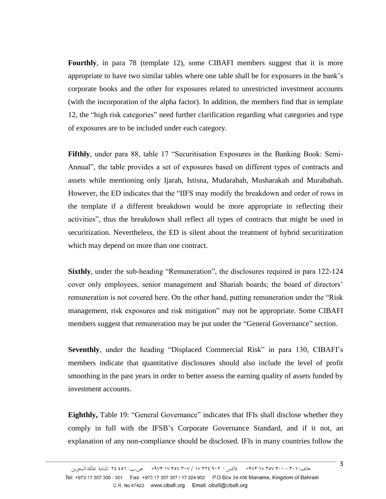**Fourthly**, in para 78 (template 12), some CIBAFI members suggest that it is more appropriate to have two similar tables where one table shall be for exposures in the bank's corporate books and the other for exposures related to unrestricted investment accounts (with the incorporation of the alpha factor). In addition, the members find that in template 12, the "high risk categories" need further clarification regarding what categories and type of exposures are to be included under each category.

**Fifthly**, under para 88, table 17 "Securitisation Exposures in the Banking Book: Semi-Annual", the table provides a set of exposures based on different types of contracts and assets while mentioning only Ijarah, Istisna, Mudarabah, Musharakah and Murabahah. However, the ED indicates that the "IIFS may modify the breakdown and order of rows in the template if a different breakdown would be more appropriate in reflecting their activities", thus the breakdown shall reflect all types of contracts that might be used in securitization. Nevertheless, the ED is silent about the treatment of hybrid securitization which may depend on more than one contract.

**Sixthly**, under the sub-heading "Remuneration", the disclosures required in para 122-124 cover only employees, senior management and Shariah boards; the board of directors' remuneration is not covered here. On the other hand, putting remuneration under the "Risk management, risk exposures and risk mitigation" may not be appropriate. Some CIBAFI members suggest that remuneration may be put under the "General Governance" section.

**Seventhly**, under the heading "Displaced Commercial Risk" in para 130, CIBAFI's members indicate that quantitative disclosures should also include the level of profit smoothing in the past years in order to better assess the earning quality of assets funded by investment accounts.

**Eighthly,** Table 19: "General Governance" indicates that IFIs shall disclose whether they comply in full with the IFSB's Corporate Governance Standard, and if it not, an explanation of any non-compliance should be disclosed. IFIs in many countries follow the